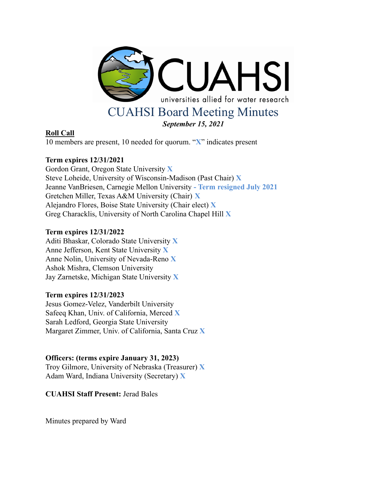

# **Roll Call**

10 members are present, 10 needed for quorum. "**X**" indicates present

# **Term expires 12/31/2021**

Gordon Grant, Oregon State University **X** Steve Loheide, University of Wisconsin-Madison (Past Chair) **X** Jeanne VanBriesen, Carnegie Mellon University **- Term resigned July 2021** Gretchen Miller, Texas A&M University (Chair) **X** Alejandro Flores, Boise State University (Chair elect) **X** Greg Characklis, University of North Carolina Chapel Hill **X**

# **Term expires 12/31/2022**

Aditi Bhaskar, Colorado State University **X** Anne Jefferson, Kent State University **X** Anne Nolin, University of Nevada-Reno **X** Ashok Mishra, Clemson University Jay Zarnetske, Michigan State University **X**

# **Term expires 12/31/2023**

Jesus Gomez-Velez, Vanderbilt University Safeeq Khan, Univ. of California, Merced **X** Sarah Ledford, Georgia State University Margaret Zimmer, Univ. of California, Santa Cruz **X**

# **Officers: (terms expire January 31, 2023)**

Troy Gilmore, University of Nebraska (Treasurer) **X** Adam Ward, Indiana University (Secretary) **X**

**CUAHSI Staff Present:** Jerad Bales

Minutes prepared by Ward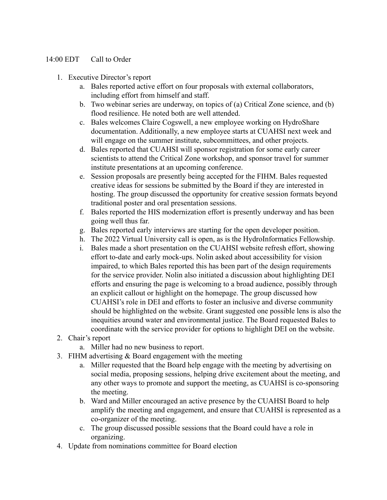# 14:00 EDT Call to Order

- 1. Executive Director's report
	- a. Bales reported active effort on four proposals with external collaborators, including effort from himself and staff.
	- b. Two webinar series are underway, on topics of (a) Critical Zone science, and (b) flood resilience. He noted both are well attended.
	- c. Bales welcomes Claire Cogswell, a new employee working on HydroShare documentation. Additionally, a new employee starts at CUAHSI next week and will engage on the summer institute, subcommittees, and other projects.
	- d. Bales reported that CUAHSI will sponsor registration for some early career scientists to attend the Critical Zone workshop, and sponsor travel for summer institute presentations at an upcoming conference.
	- e. Session proposals are presently being accepted for the FIHM. Bales requested creative ideas for sessions be submitted by the Board if they are interested in hosting. The group discussed the opportunity for creative session formats beyond traditional poster and oral presentation sessions.
	- f. Bales reported the HIS modernization effort is presently underway and has been going well thus far.
	- g. Bales reported early interviews are starting for the open developer position.
	- h. The 2022 Virtual University call is open, as is the HydroInformatics Fellowship.
	- i. Bales made a short presentation on the CUAHSI website refresh effort, showing effort to-date and early mock-ups. Nolin asked about accessibility for vision impaired, to which Bales reported this has been part of the design requirements for the service provider. Nolin also initiated a discussion about highlighting DEI efforts and ensuring the page is welcoming to a broad audience, possibly through an explicit callout or highlight on the homepage. The group discussed how CUAHSI's role in DEI and efforts to foster an inclusive and diverse community should be highlighted on the website. Grant suggested one possible lens is also the inequities around water and environmental justice. The Board requested Bales to coordinate with the service provider for options to highlight DEI on the website.
- 2. Chair's report
	- a. Miller had no new business to report.
- 3. FIHM advertising  $&$  Board engagement with the meeting
	- a. Miller requested that the Board help engage with the meeting by advertising on social media, proposing sessions, helping drive excitement about the meeting, and any other ways to promote and support the meeting, as CUAHSI is co-sponsoring the meeting.
	- b. Ward and Miller encouraged an active presence by the CUAHSI Board to help amplify the meeting and engagement, and ensure that CUAHSI is represented as a co-organizer of the meeting.
	- c. The group discussed possible sessions that the Board could have a role in organizing.
- 4. Update from nominations committee for Board election